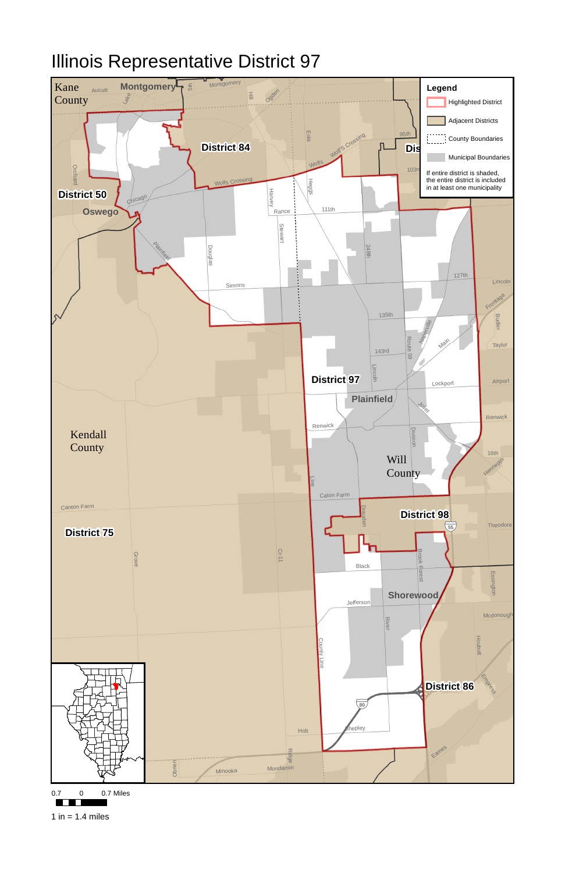

## Illinois Representative District 97



 $\Box$ 

1 in  $= 1.4$  miles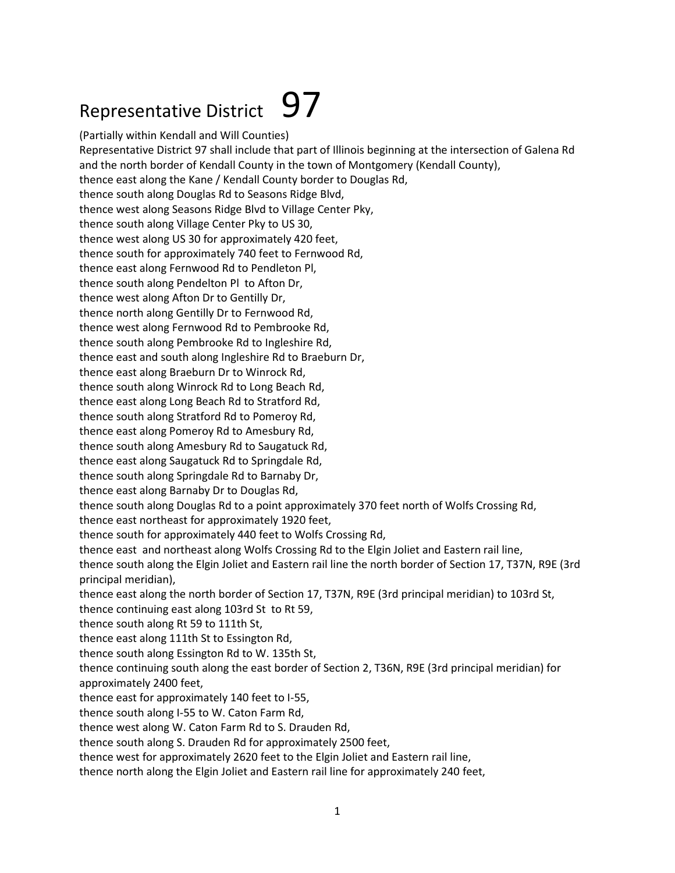## Representative District  $97$

(Partially within Kendall and Will Counties) Representative District 97 shall include that part of Illinois beginning at the intersection of Galena Rd and the north border of Kendall County in the town of Montgomery (Kendall County), thence east along the Kane / Kendall County border to Douglas Rd, thence south along Douglas Rd to Seasons Ridge Blvd, thence west along Seasons Ridge Blvd to Village Center Pky, thence south along Village Center Pky to US 30, thence west along US 30 for approximately 420 feet, thence south for approximately 740 feet to Fernwood Rd, thence east along Fernwood Rd to Pendleton Pl, thence south along Pendelton Pl to Afton Dr, thence west along Afton Dr to Gentilly Dr, thence north along Gentilly Dr to Fernwood Rd, thence west along Fernwood Rd to Pembrooke Rd, thence south along Pembrooke Rd to Ingleshire Rd, thence east and south along Ingleshire Rd to Braeburn Dr, thence east along Braeburn Dr to Winrock Rd, thence south along Winrock Rd to Long Beach Rd, thence east along Long Beach Rd to Stratford Rd, thence south along Stratford Rd to Pomeroy Rd, thence east along Pomeroy Rd to Amesbury Rd, thence south along Amesbury Rd to Saugatuck Rd, thence east along Saugatuck Rd to Springdale Rd, thence south along Springdale Rd to Barnaby Dr, thence east along Barnaby Dr to Douglas Rd, thence south along Douglas Rd to a point approximately 370 feet north of Wolfs Crossing Rd, thence east northeast for approximately 1920 feet, thence south for approximately 440 feet to Wolfs Crossing Rd, thence east and northeast along Wolfs Crossing Rd to the Elgin Joliet and Eastern rail line, thence south along the Elgin Joliet and Eastern rail line the north border of Section 17, T37N, R9E (3rd principal meridian), thence east along the north border of Section 17, T37N, R9E (3rd principal meridian) to 103rd St, thence continuing east along 103rd St to Rt 59, thence south along Rt 59 to 111th St, thence east along 111th St to Essington Rd, thence south along Essington Rd to W. 135th St, thence continuing south along the east border of Section 2, T36N, R9E (3rd principal meridian) for approximately 2400 feet, thence east for approximately 140 feet to I-55, thence south along I-55 to W. Caton Farm Rd, thence west along W. Caton Farm Rd to S. Drauden Rd, thence south along S. Drauden Rd for approximately 2500 feet, thence west for approximately 2620 feet to the Elgin Joliet and Eastern rail line, thence north along the Elgin Joliet and Eastern rail line for approximately 240 feet,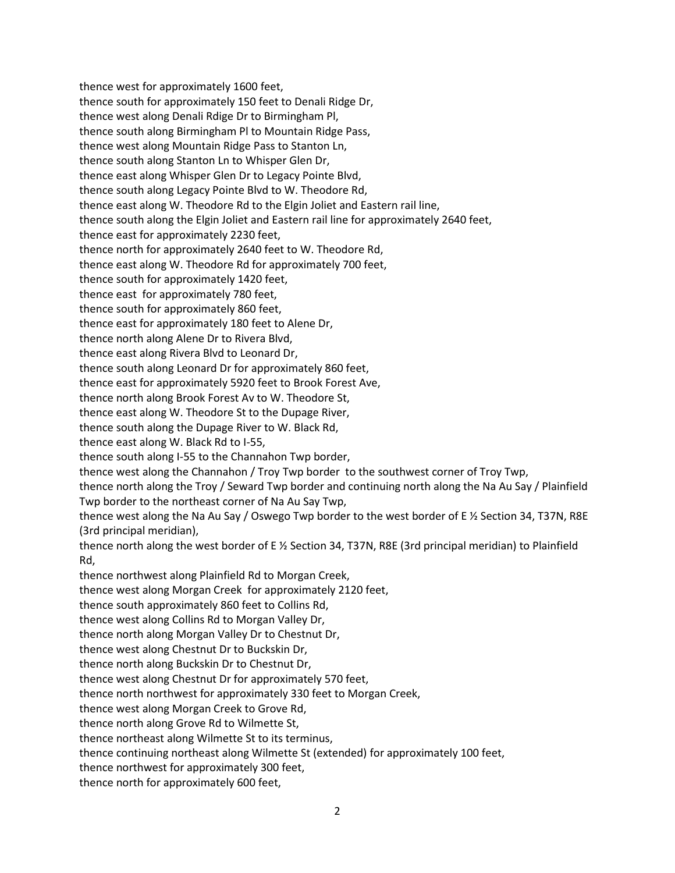thence west for approximately 1600 feet, thence south for approximately 150 feet to Denali Ridge Dr, thence west along Denali Rdige Dr to Birmingham Pl, thence south along Birmingham Pl to Mountain Ridge Pass, thence west along Mountain Ridge Pass to Stanton Ln, thence south along Stanton Ln to Whisper Glen Dr, thence east along Whisper Glen Dr to Legacy Pointe Blvd, thence south along Legacy Pointe Blvd to W. Theodore Rd, thence east along W. Theodore Rd to the Elgin Joliet and Eastern rail line, thence south along the Elgin Joliet and Eastern rail line for approximately 2640 feet, thence east for approximately 2230 feet, thence north for approximately 2640 feet to W. Theodore Rd, thence east along W. Theodore Rd for approximately 700 feet, thence south for approximately 1420 feet, thence east for approximately 780 feet, thence south for approximately 860 feet, thence east for approximately 180 feet to Alene Dr, thence north along Alene Dr to Rivera Blvd, thence east along Rivera Blvd to Leonard Dr, thence south along Leonard Dr for approximately 860 feet, thence east for approximately 5920 feet to Brook Forest Ave, thence north along Brook Forest Av to W. Theodore St, thence east along W. Theodore St to the Dupage River, thence south along the Dupage River to W. Black Rd, thence east along W. Black Rd to I-55, thence south along I-55 to the Channahon Twp border, thence west along the Channahon / Troy Twp border to the southwest corner of Troy Twp, thence north along the Troy / Seward Twp border and continuing north along the Na Au Say / Plainfield Twp border to the northeast corner of Na Au Say Twp, thence west along the Na Au Say / Oswego Twp border to the west border of E ½ Section 34, T37N, R8E (3rd principal meridian), thence north along the west border of E ½ Section 34, T37N, R8E (3rd principal meridian) to Plainfield Rd, thence northwest along Plainfield Rd to Morgan Creek, thence west along Morgan Creek for approximately 2120 feet, thence south approximately 860 feet to Collins Rd, thence west along Collins Rd to Morgan Valley Dr, thence north along Morgan Valley Dr to Chestnut Dr, thence west along Chestnut Dr to Buckskin Dr, thence north along Buckskin Dr to Chestnut Dr, thence west along Chestnut Dr for approximately 570 feet, thence north northwest for approximately 330 feet to Morgan Creek, thence west along Morgan Creek to Grove Rd, thence north along Grove Rd to Wilmette St, thence northeast along Wilmette St to its terminus, thence continuing northeast along Wilmette St (extended) for approximately 100 feet, thence northwest for approximately 300 feet, thence north for approximately 600 feet,